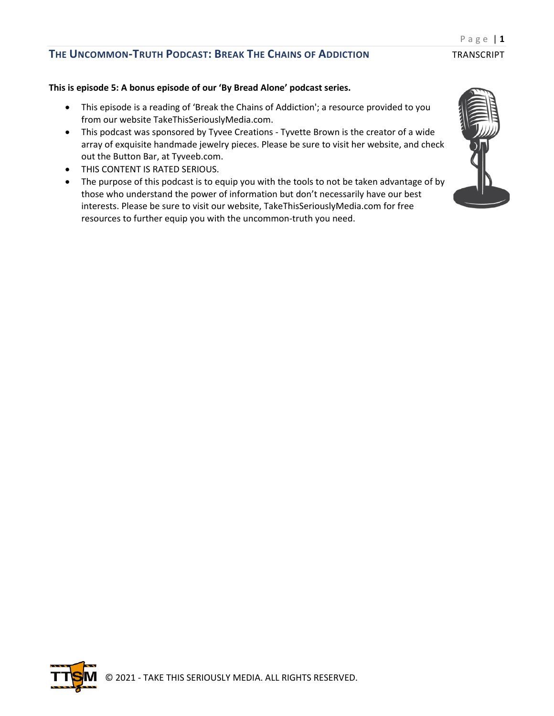#### **This is episode 5: A bonus episode of our 'By Bread Alone' podcast series.**

- This episode is a reading of 'Break the Chains of Addiction'; a resource provided to you from our website TakeThisSeriouslyMedia.com.
- This podcast was sponsored by Tyvee Creations Tyvette Brown is the creator of a wide array of exquisite handmade jewelry pieces. Please be sure to visit her website, and check out the Button Bar, at Tyveeb.com.
- THIS CONTENT IS RATED SERIOUS.
- The purpose of this podcast is to equip you with the tools to not be taken advantage of by those who understand the power of information but don't necessarily have our best interests. Please be sure to visit our website, TakeThisSeriouslyMedia.com for free resources to further equip you with the uncommon-truth you need.



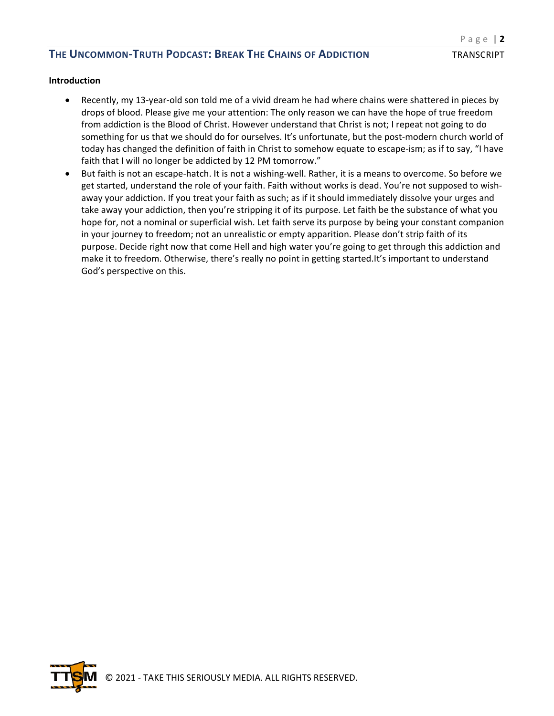#### **Introduction**

- Recently, my 13-year-old son told me of a vivid dream he had where chains were shattered in pieces by drops of blood. Please give me your attention: The only reason we can have the hope of true freedom from addiction is the Blood of Christ. However understand that Christ is not; I repeat not going to do something for us that we should do for ourselves. It's unfortunate, but the post-modern church world of today has changed the definition of faith in Christ to somehow equate to escape-ism; as if to say, "I have faith that I will no longer be addicted by 12 PM tomorrow."
- But faith is not an escape-hatch. It is not a wishing-well. Rather, it is a means to overcome. So before we get started, understand the role of your faith. Faith without works is dead. You're not supposed to wishaway your addiction. If you treat your faith as such; as if it should immediately dissolve your urges and take away your addiction, then you're stripping it of its purpose. Let faith be the substance of what you hope for, not a nominal or superficial wish. Let faith serve its purpose by being your constant companion in your journey to freedom; not an unrealistic or empty apparition. Please don't strip faith of its purpose. Decide right now that come Hell and high water you're going to get through this addiction and make it to freedom. Otherwise, there's really no point in getting started.It's important to understand God's perspective on this.

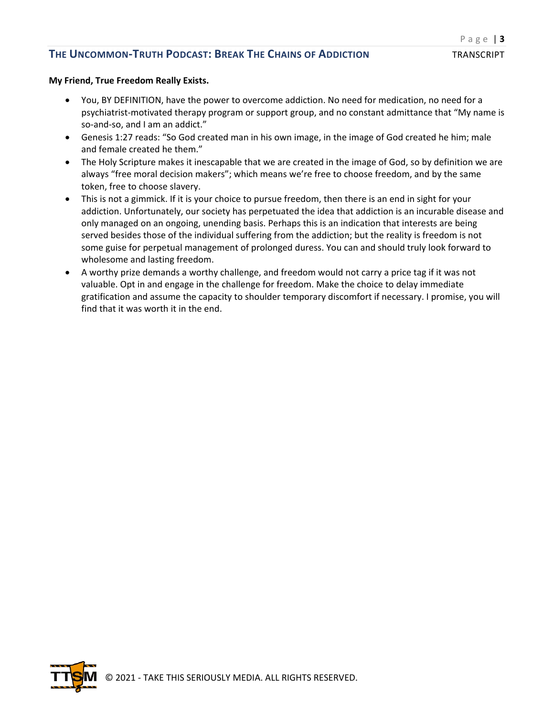#### **My Friend, True Freedom Really Exists.**

- You, BY DEFINITION, have the power to overcome addiction. No need for medication, no need for a psychiatrist-motivated therapy program or support group, and no constant admittance that "My name is so-and-so, and I am an addict."
- Genesis 1:27 reads: "So God created man in his own image, in the image of God created he him; male and female created he them."
- The Holy Scripture makes it inescapable that we are created in the image of God, so by definition we are always "free moral decision makers"; which means we're free to choose freedom, and by the same token, free to choose slavery.
- This is not a gimmick. If it is your choice to pursue freedom, then there is an end in sight for your addiction. Unfortunately, our society has perpetuated the idea that addiction is an incurable disease and only managed on an ongoing, unending basis. Perhaps this is an indication that interests are being served besides those of the individual suffering from the addiction; but the reality is freedom is not some guise for perpetual management of prolonged duress. You can and should truly look forward to wholesome and lasting freedom.
- A worthy prize demands a worthy challenge, and freedom would not carry a price tag if it was not valuable. Opt in and engage in the challenge for freedom. Make the choice to delay immediate gratification and assume the capacity to shoulder temporary discomfort if necessary. I promise, you will find that it was worth it in the end.

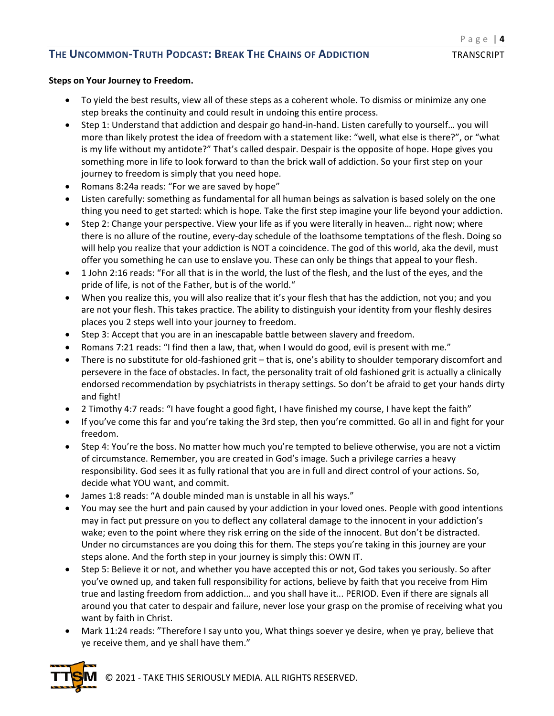#### **Steps on Your Journey to Freedom.**

- To yield the best results, view all of these steps as a coherent whole. To dismiss or minimize any one step breaks the continuity and could result in undoing this entire process.
- Step 1: Understand that addiction and despair go hand-in-hand. Listen carefully to yourself… you will more than likely protest the idea of freedom with a statement like: "well, what else is there?", or "what is my life without my antidote?" That's called despair. Despair is the opposite of hope. Hope gives you something more in life to look forward to than the brick wall of addiction. So your first step on your journey to freedom is simply that you need hope.
- Romans 8:24a reads: "For we are saved by hope"
- Listen carefully: something as fundamental for all human beings as salvation is based solely on the one thing you need to get started: which is hope. Take the first step imagine your life beyond your addiction.
- Step 2: Change your perspective. View your life as if you were literally in heaven… right now; where there is no allure of the routine, every-day schedule of the loathsome temptations of the flesh. Doing so will help you realize that your addiction is NOT a coincidence. The god of this world, aka the devil, must offer you something he can use to enslave you. These can only be things that appeal to your flesh.
- 1 John 2:16 reads: "For all that is in the world, the lust of the flesh, and the lust of the eyes, and the pride of life, is not of the Father, but is of the world."
- When you realize this, you will also realize that it's your flesh that has the addiction, not you; and you are not your flesh. This takes practice. The ability to distinguish your identity from your fleshly desires places you 2 steps well into your journey to freedom.
- Step 3: Accept that you are in an inescapable battle between slavery and freedom.
- Romans 7:21 reads: "I find then a law, that, when I would do good, evil is present with me."
- There is no substitute for old-fashioned grit that is, one's ability to shoulder temporary discomfort and persevere in the face of obstacles. In fact, the personality trait of old fashioned grit is actually a clinically endorsed recommendation by psychiatrists in therapy settings. So don't be afraid to get your hands dirty and fight!
- 2 Timothy 4:7 reads: "I have fought a good fight, I have finished my course, I have kept the faith"
- If you've come this far and you're taking the 3rd step, then you're committed. Go all in and fight for your freedom.
- Step 4: You're the boss. No matter how much you're tempted to believe otherwise, you are not a victim of circumstance. Remember, you are created in God's image. Such a privilege carries a heavy responsibility. God sees it as fully rational that you are in full and direct control of your actions. So, decide what YOU want, and commit.
- James 1:8 reads: "A double minded man is unstable in all his ways."
- You may see the hurt and pain caused by your addiction in your loved ones. People with good intentions may in fact put pressure on you to deflect any collateral damage to the innocent in your addiction's wake; even to the point where they risk erring on the side of the innocent. But don't be distracted. Under no circumstances are you doing this for them. The steps you're taking in this journey are your steps alone. And the forth step in your journey is simply this: OWN IT.
- Step 5: Believe it or not, and whether you have accepted this or not, God takes you seriously. So after you've owned up, and taken full responsibility for actions, believe by faith that you receive from Him true and lasting freedom from addiction... and you shall have it... PERIOD. Even if there are signals all around you that cater to despair and failure, never lose your grasp on the promise of receiving what you want by faith in Christ.
- Mark 11:24 reads: "Therefore I say unto you, What things soever ye desire, when ye pray, believe that ye receive them, and ye shall have them."



© 2021 - TAKE THIS SERIOUSLY MEDIA. ALL RIGHTS RESERVED.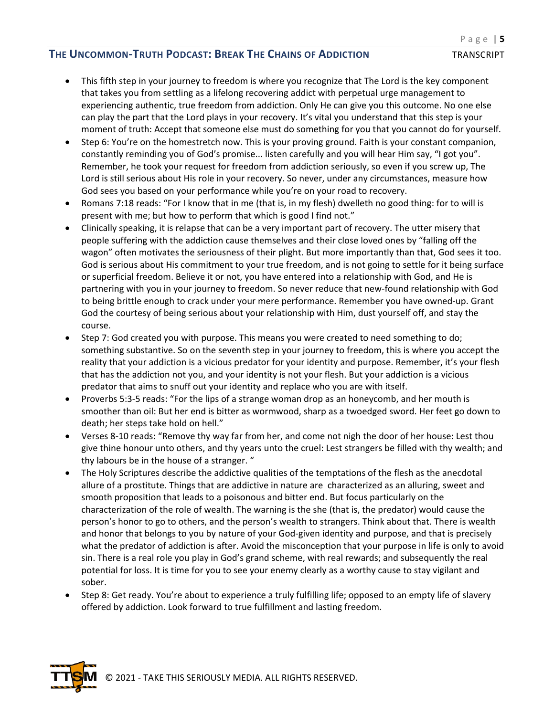- This fifth step in your journey to freedom is where you recognize that The Lord is the key component that takes you from settling as a lifelong recovering addict with perpetual urge management to experiencing authentic, true freedom from addiction. Only He can give you this outcome. No one else can play the part that the Lord plays in your recovery. It's vital you understand that this step is your moment of truth: Accept that someone else must do something for you that you cannot do for yourself.
- Step 6: You're on the homestretch now. This is your proving ground. Faith is your constant companion, constantly reminding you of God's promise... listen carefully and you will hear Him say, "I got you". Remember, he took your request for freedom from addiction seriously, so even if you screw up, The Lord is still serious about His role in your recovery. So never, under any circumstances, measure how God sees you based on your performance while you're on your road to recovery.
- Romans 7:18 reads: "For I know that in me (that is, in my flesh) dwelleth no good thing: for to will is present with me; but how to perform that which is good I find not."
- Clinically speaking, it is relapse that can be a very important part of recovery. The utter misery that people suffering with the addiction cause themselves and their close loved ones by "falling off the wagon" often motivates the seriousness of their plight. But more importantly than that, God sees it too. God is serious about His commitment to your true freedom, and is not going to settle for it being surface or superficial freedom. Believe it or not, you have entered into a relationship with God, and He is partnering with you in your journey to freedom. So never reduce that new-found relationship with God to being brittle enough to crack under your mere performance. Remember you have owned-up. Grant God the courtesy of being serious about your relationship with Him, dust yourself off, and stay the course.
- Step 7: God created you with purpose. This means you were created to need something to do; something substantive. So on the seventh step in your journey to freedom, this is where you accept the reality that your addiction is a vicious predator for your identity and purpose. Remember, it's your flesh that has the addiction not you, and your identity is not your flesh. But your addiction is a vicious predator that aims to snuff out your identity and replace who you are with itself.
- Proverbs 5:3-5 reads: "For the lips of a strange woman drop as an honeycomb, and her mouth is smoother than oil: But her end is bitter as wormwood, sharp as a twoedged sword. Her feet go down to death; her steps take hold on hell."
- Verses 8-10 reads: "Remove thy way far from her, and come not nigh the door of her house: Lest thou give thine honour unto others, and thy years unto the cruel: Lest strangers be filled with thy wealth; and thy labours be in the house of a stranger. "
- The Holy Scriptures describe the addictive qualities of the temptations of the flesh as the anecdotal allure of a prostitute. Things that are addictive in nature are characterized as an alluring, sweet and smooth proposition that leads to a poisonous and bitter end. But focus particularly on the characterization of the role of wealth. The warning is the she (that is, the predator) would cause the person's honor to go to others, and the person's wealth to strangers. Think about that. There is wealth and honor that belongs to you by nature of your God-given identity and purpose, and that is precisely what the predator of addiction is after. Avoid the misconception that your purpose in life is only to avoid sin. There is a real role you play in God's grand scheme, with real rewards; and subsequently the real potential for loss. It is time for you to see your enemy clearly as a worthy cause to stay vigilant and sober.
- Step 8: Get ready. You're about to experience a truly fulfilling life; opposed to an empty life of slavery offered by addiction. Look forward to true fulfillment and lasting freedom.